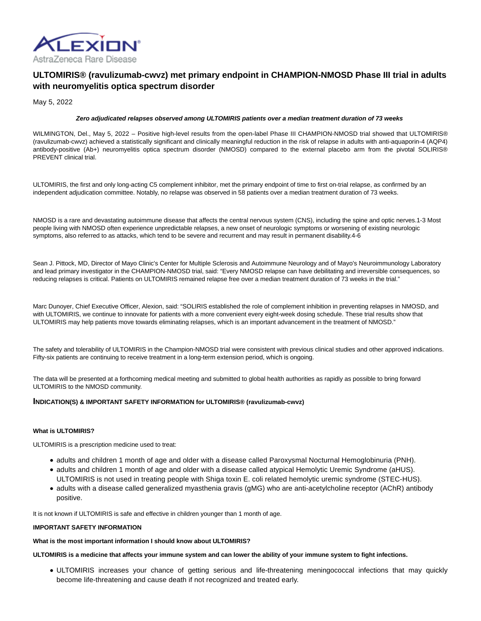

# **ULTOMIRIS® (ravulizumab-cwvz) met primary endpoint in CHAMPION-NMOSD Phase III trial in adults with neuromyelitis optica spectrum disorder**

May 5, 2022

# **Zero adjudicated relapses observed among ULTOMIRIS patients over a median treatment duration of 73 weeks**

WILMINGTON, Del., May 5, 2022 – Positive high-level results from the open-label Phase III CHAMPION-NMOSD trial showed that ULTOMIRIS® (ravulizumab-cwvz) achieved a statistically significant and clinically meaningful reduction in the risk of relapse in adults with anti-aquaporin-4 (AQP4) antibody-positive (Ab+) neuromyelitis optica spectrum disorder (NMOSD) compared to the external placebo arm from the pivotal SOLIRIS® PREVENT clinical trial.

ULTOMIRIS, the first and only long-acting C5 complement inhibitor, met the primary endpoint of time to first on-trial relapse, as confirmed by an independent adjudication committee. Notably, no relapse was observed in 58 patients over a median treatment duration of 73 weeks.

NMOSD is a rare and devastating autoimmune disease that affects the central nervous system (CNS), including the spine and optic nerves.1-3 Most people living with NMOSD often experience unpredictable relapses, a new onset of neurologic symptoms or worsening of existing neurologic symptoms, also referred to as attacks, which tend to be severe and recurrent and may result in permanent disability.4-6

Sean J. Pittock, MD, Director of Mayo Clinic's Center for Multiple Sclerosis and Autoimmune Neurology and of Mayo's Neuroimmunology Laboratory and lead primary investigator in the CHAMPION-NMOSD trial, said: "Every NMOSD relapse can have debilitating and irreversible consequences, so reducing relapses is critical. Patients on ULTOMIRIS remained relapse free over a median treatment duration of 73 weeks in the trial."

Marc Dunoyer, Chief Executive Officer, Alexion, said: "SOLIRIS established the role of complement inhibition in preventing relapses in NMOSD, and with ULTOMIRIS, we continue to innovate for patients with a more convenient every eight-week dosing schedule. These trial results show that ULTOMIRIS may help patients move towards eliminating relapses, which is an important advancement in the treatment of NMOSD."

The safety and tolerability of ULTOMIRIS in the Champion-NMOSD trial were consistent with previous clinical studies and other approved indications. Fifty-six patients are continuing to receive treatment in a long-term extension period, which is ongoing.

The data will be presented at a forthcoming medical meeting and submitted to global health authorities as rapidly as possible to bring forward ULTOMIRIS to the NMOSD community.

# **INDICATION(S) & IMPORTANT SAFETY INFORMATION for ULTOMIRIS® (ravulizumab-cwvz)**

# **What is ULTOMIRIS?**

ULTOMIRIS is a prescription medicine used to treat:

- adults and children 1 month of age and older with a disease called Paroxysmal Nocturnal Hemoglobinuria (PNH).
- adults and children 1 month of age and older with a disease called atypical Hemolytic Uremic Syndrome (aHUS). ULTOMIRIS is not used in treating people with Shiga toxin E. coli related hemolytic uremic syndrome (STEC-HUS).
- adults with a disease called generalized myasthenia gravis (gMG) who are anti-acetylcholine receptor (AChR) antibody positive.

It is not known if ULTOMIRIS is safe and effective in children younger than 1 month of age.

# **IMPORTANT SAFETY INFORMATION**

**What is the most important information I should know about ULTOMIRIS?**

**ULTOMIRIS is a medicine that affects your immune system and can lower the ability of your immune system to fight infections.**

ULTOMIRIS increases your chance of getting serious and life-threatening meningococcal infections that may quickly become life-threatening and cause death if not recognized and treated early.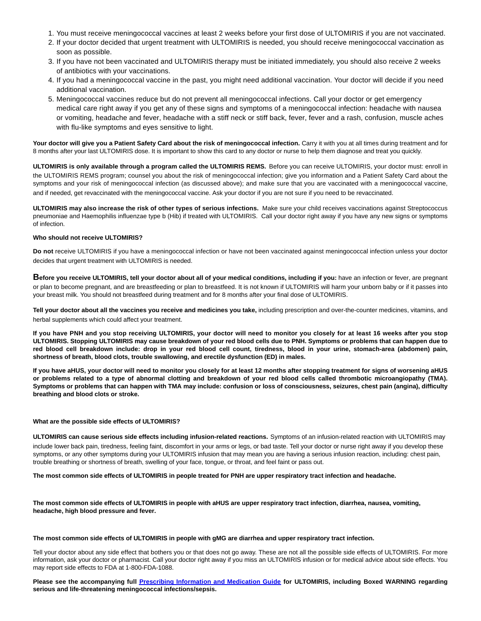- 1. You must receive meningococcal vaccines at least 2 weeks before your first dose of ULTOMIRIS if you are not vaccinated.
- 2. If your doctor decided that urgent treatment with ULTOMIRIS is needed, you should receive meningococcal vaccination as soon as possible.
- If you have not been vaccinated and ULTOMIRIS therapy must be initiated immediately, you should also receive 2 weeks 3. of antibiotics with your vaccinations.
- 4. If you had a meningococcal vaccine in the past, you might need additional vaccination. Your doctor will decide if you need additional vaccination.
- 5. Meningococcal vaccines reduce but do not prevent all meningococcal infections. Call your doctor or get emergency medical care right away if you get any of these signs and symptoms of a meningococcal infection: headache with nausea or vomiting, headache and fever, headache with a stiff neck or stiff back, fever, fever and a rash, confusion, muscle aches with flu-like symptoms and eyes sensitive to light.

**Your doctor will give you a Patient Safety Card about the risk of meningococcal infection.** Carry it with you at all times during treatment and for 8 months after your last ULTOMIRIS dose. It is important to show this card to any doctor or nurse to help them diagnose and treat you quickly.

**ULTOMIRIS is only available through a program called the ULTOMIRIS REMS.** Before you can receive ULTOMIRIS, your doctor must: enroll in the ULTOMIRIS REMS program; counsel you about the risk of meningococcal infection; give you information and a Patient Safety Card about the symptoms and your risk of meningococcal infection (as discussed above); and make sure that you are vaccinated with a meningococcal vaccine, and if needed, get revaccinated with the meningococcal vaccine. Ask your doctor if you are not sure if you need to be revaccinated.

**ULTOMIRIS may also increase the risk of other types of serious infections.** Make sure your child receives vaccinations against Streptococcus pneumoniae and Haemophilis influenzae type b (Hib) if treated with ULTOMIRIS. Call your doctor right away if you have any new signs or symptoms of infection.

# **Who should not receive ULTOMIRIS?**

**Do not** receive ULTOMIRIS if you have a meningococcal infection or have not been vaccinated against meningococcal infection unless your doctor decides that urgent treatment with ULTOMIRIS is needed.

**Before you receive ULTOMIRIS, tell your doctor about all of your medical conditions, including if you:** have an infection or fever, are pregnant or plan to become pregnant, and are breastfeeding or plan to breastfeed. It is not known if ULTOMIRIS will harm your unborn baby or if it passes into your breast milk. You should not breastfeed during treatment and for 8 months after your final dose of ULTOMIRIS.

**Tell your doctor about all the vaccines you receive and medicines you take,** including prescription and over-the-counter medicines, vitamins, and herbal supplements which could affect your treatment.

**If you have PNH and you stop receiving ULTOMIRIS, your doctor will need to monitor you closely for at least 16 weeks after you stop ULTOMIRIS. Stopping ULTOMIRIS may cause breakdown of your red blood cells due to PNH. Symptoms or problems that can happen due to red blood cell breakdown include: drop in your red blood cell count, tiredness, blood in your urine, stomach-area (abdomen) pain, shortness of breath, blood clots, trouble swallowing, and erectile dysfunction (ED) in males.**

**If you have aHUS, your doctor will need to monitor you closely for at least 12 months after stopping treatment for signs of worsening aHUS or problems related to a type of abnormal clotting and breakdown of your red blood cells called thrombotic microangiopathy (TMA). Symptoms or problems that can happen with TMA may include: confusion or loss of consciousness, seizures, chest pain (angina), difficulty breathing and blood clots or stroke.**

# **What are the possible side effects of ULTOMIRIS?**

**ULTOMIRIS can cause serious side effects including infusion-related reactions.** Symptoms of an infusion-related reaction with ULTOMIRIS may include lower back pain, tiredness, feeling faint, discomfort in your arms or legs, or bad taste. Tell your doctor or nurse right away if you develop these symptoms, or any other symptoms during your ULTOMIRIS infusion that may mean you are having a serious infusion reaction, including: chest pain, trouble breathing or shortness of breath, swelling of your face, tongue, or throat, and feel faint or pass out.

**The most common side effects of ULTOMIRIS in people treated for PNH are upper respiratory tract infection and headache.**

**The most common side effects of ULTOMIRIS in people with aHUS are upper respiratory tract infection, diarrhea, nausea, vomiting, headache, high blood pressure and fever.**

#### **The most common side effects of ULTOMIRIS in people with gMG are diarrhea and upper respiratory tract infection.**

Tell your doctor about any side effect that bothers you or that does not go away. These are not all the possible side effects of ULTOMIRIS. For more information, ask your doctor or pharmacist. Call your doctor right away if you miss an ULTOMIRIS infusion or for medical advice about side effects. You may report side effects to FDA at 1-800-FDA-1088.

**Please see the accompanying full [Prescribing Information and Medication Guide f](https://alexion.com/Documents/Ultomiris_USPI.pdf)or ULTOMIRIS, including Boxed WARNING regarding serious and life-threatening meningococcal infections/sepsis.**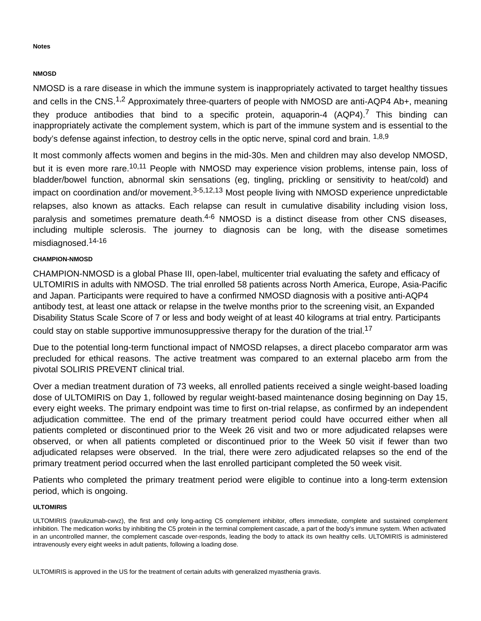# **Notes**

# **NMOSD**

NMOSD is a rare disease in which the immune system is inappropriately activated to target healthy tissues and cells in the CNS.<sup>1,2</sup> Approximately three-quarters of people with NMOSD are anti-AQP4 Ab+, meaning they produce antibodies that bind to a specific protein, aquaporin-4  $(AQP4)^7$  This binding can inappropriately activate the complement system, which is part of the immune system and is essential to the body's defense against infection, to destroy cells in the optic nerve, spinal cord and brain. <sup>1,8,9</sup>

It most commonly affects women and begins in the mid-30s. Men and children may also develop NMOSD, but it is even more rare.<sup>10,11</sup> People with NMOSD may experience vision problems, intense pain, loss of bladder/bowel function, abnormal skin sensations (eg, tingling, prickling or sensitivity to heat/cold) and impact on coordination and/or movement.<sup>3-5,12,13</sup> Most people living with NMOSD experience unpredictable relapses, also known as attacks. Each relapse can result in cumulative disability including vision loss, paralysis and sometimes premature death.<sup>4-6</sup> NMOSD is a distinct disease from other CNS diseases, including multiple sclerosis. The journey to diagnosis can be long, with the disease sometimes misdiagnosed.14-16

# **CHAMPION-NMOSD**

CHAMPION-NMOSD is a global Phase III, open-label, multicenter trial evaluating the safety and efficacy of ULTOMIRIS in adults with NMOSD. The trial enrolled 58 patients across North America, Europe, Asia-Pacific and Japan. Participants were required to have a confirmed NMOSD diagnosis with a positive anti-AQP4 antibody test, at least one attack or relapse in the twelve months prior to the screening visit, an Expanded Disability Status Scale Score of 7 or less and body weight of at least 40 kilograms at trial entry. Participants could stay on stable supportive immunosuppressive therapy for the duration of the trial.<sup>17</sup>

Due to the potential long-term functional impact of NMOSD relapses, a direct placebo comparator arm was precluded for ethical reasons. The active treatment was compared to an external placebo arm from the pivotal SOLIRIS PREVENT clinical trial.

Over a median treatment duration of 73 weeks, all enrolled patients received a single weight-based loading dose of ULTOMIRIS on Day 1, followed by regular weight-based maintenance dosing beginning on Day 15, every eight weeks. The primary endpoint was time to first on-trial relapse, as confirmed by an independent adjudication committee. The end of the primary treatment period could have occurred either when all patients completed or discontinued prior to the Week 26 visit and two or more adjudicated relapses were observed, or when all patients completed or discontinued prior to the Week 50 visit if fewer than two adjudicated relapses were observed. In the trial, there were zero adjudicated relapses so the end of the primary treatment period occurred when the last enrolled participant completed the 50 week visit.

Patients who completed the primary treatment period were eligible to continue into a long-term extension period, which is ongoing.

# **ULTOMIRIS**

ULTOMIRIS (ravulizumab-cwvz), the first and only long-acting C5 complement inhibitor, offers immediate, complete and sustained complement inhibition. The medication works by inhibiting the C5 protein in the terminal complement cascade, a part of the body's immune system. When activated in an uncontrolled manner, the complement cascade over-responds, leading the body to attack its own healthy cells. ULTOMIRIS is administered intravenously every eight weeks in adult patients, following a loading dose.

ULTOMIRIS is approved in the US for the treatment of certain adults with generalized myasthenia gravis.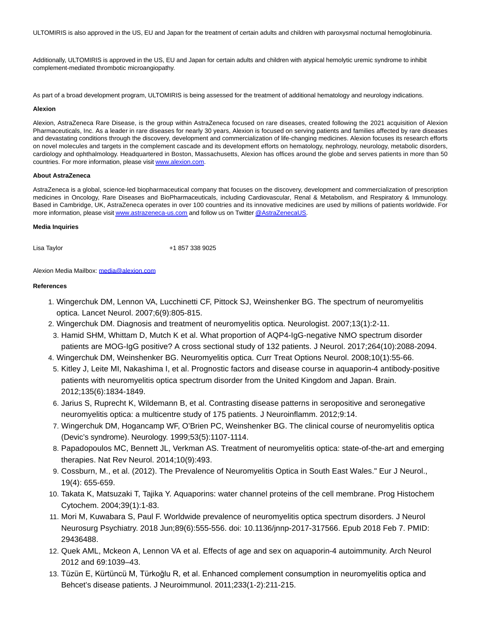ULTOMIRIS is also approved in the US, EU and Japan for the treatment of certain adults and children with paroxysmal nocturnal hemoglobinuria.

Additionally, ULTOMIRIS is approved in the US, EU and Japan for certain adults and children with atypical hemolytic uremic syndrome to inhibit complement-mediated thrombotic microangiopathy.

As part of a broad development program, ULTOMIRIS is being assessed for the treatment of additional hematology and neurology indications.

#### **Alexion**

Alexion, AstraZeneca Rare Disease, is the group within AstraZeneca focused on rare diseases, created following the 2021 acquisition of Alexion Pharmaceuticals, Inc. As a leader in rare diseases for nearly 30 years, Alexion is focused on serving patients and families affected by rare diseases and devastating conditions through the discovery, development and commercialization of life-changing medicines. Alexion focuses its research efforts on novel molecules and targets in the complement cascade and its development efforts on hematology, nephrology, neurology, metabolic disorders, cardiology and ophthalmology. Headquartered in Boston, Massachusetts, Alexion has offices around the globe and serves patients in more than 50 countries. For more information, please visi[t www.alexion.com.](https://alexion.com/)

# **About AstraZeneca**

AstraZeneca is a global, science-led biopharmaceutical company that focuses on the discovery, development and commercialization of prescription medicines in Oncology, Rare Diseases and BioPharmaceuticals, including Cardiovascular, Renal & Metabolism, and Respiratory & Immunology. Based in Cambridge, UK, AstraZeneca operates in over 100 countries and its innovative medicines are used by millions of patients worldwide. For more information, please visi[t www.astrazeneca-us.com a](http://www.astrazeneca-us.com/)nd follow us on Twitte[r @AstraZenecaUS.](https://twitter.com/AstraZenecaUS)

# **Media Inquiries**

Lisa Taylor **1988** 187 338 41 857 338 9025

Alexion Media Mailbox: [media@alexion.com](mailto:media@alexion.com)

# **References**

- 1. Wingerchuk DM, Lennon VA, Lucchinetti CF, Pittock SJ, Weinshenker BG. The spectrum of neuromyelitis optica. Lancet Neurol. 2007;6(9):805-815.
- 2. Wingerchuk DM. Diagnosis and treatment of neuromyelitis optica. Neurologist. 2007;13(1):2-11.
- 3. Hamid SHM, Whittam D, Mutch K et al. What proportion of AQP4-IgG-negative NMO spectrum disorder patients are MOG-IgG positive? A cross sectional study of 132 patients. J Neurol. 2017;264(10):2088-2094.
- 4. Wingerchuk DM, Weinshenker BG. Neuromyelitis optica. Curr Treat Options Neurol. 2008;10(1):55-66.
	- 5. Kitley J, Leite MI, Nakashima I, et al. Prognostic factors and disease course in aquaporin-4 antibody-positive patients with neuromyelitis optica spectrum disorder from the United Kingdom and Japan. Brain. 2012;135(6):1834-1849.
	- 6. Jarius S, Ruprecht K, Wildemann B, et al. Contrasting disease patterns in seropositive and seronegative neuromyelitis optica: a multicentre study of 175 patients. J Neuroinflamm. 2012;9:14.
	- 7. Wingerchuk DM, Hogancamp WF, O'Brien PC, Weinshenker BG. The clinical course of neuromyelitis optica (Devic's syndrome). Neurology. 1999;53(5):1107-1114.
	- 8. Papadopoulos MC, Bennett JL, Verkman AS. Treatment of neuromyelitis optica: state-of-the-art and emerging therapies. Nat Rev Neurol. 2014;10(9):493.
	- Cossburn, M., et al. (2012). The Prevalence of Neuromyelitis Optica in South East Wales." Eur J Neurol., 9. 19(4): 655-659.
- 10. Takata K, Matsuzaki T, Tajika Y. Aquaporins: water channel proteins of the cell membrane. Prog Histochem Cytochem. 2004;39(1):1-83.
- 11. Mori M, Kuwabara S, Paul F. Worldwide prevalence of neuromyelitis optica spectrum disorders. J Neurol Neurosurg Psychiatry. 2018 Jun;89(6):555-556. doi: 10.1136/jnnp-2017-317566. Epub 2018 Feb 7. PMID: 29436488.
- 12. Quek AML, Mckeon A, Lennon VA et al. Effects of age and sex on aquaporin-4 autoimmunity. Arch Neurol 2012 and 69:1039–43.
- 13. Tüzün E, Kürtüncü M, Türkoğlu R, et al. Enhanced complement consumption in neuromyelitis optica and Behcet's disease patients. J Neuroimmunol. 2011;233(1-2):211-215.